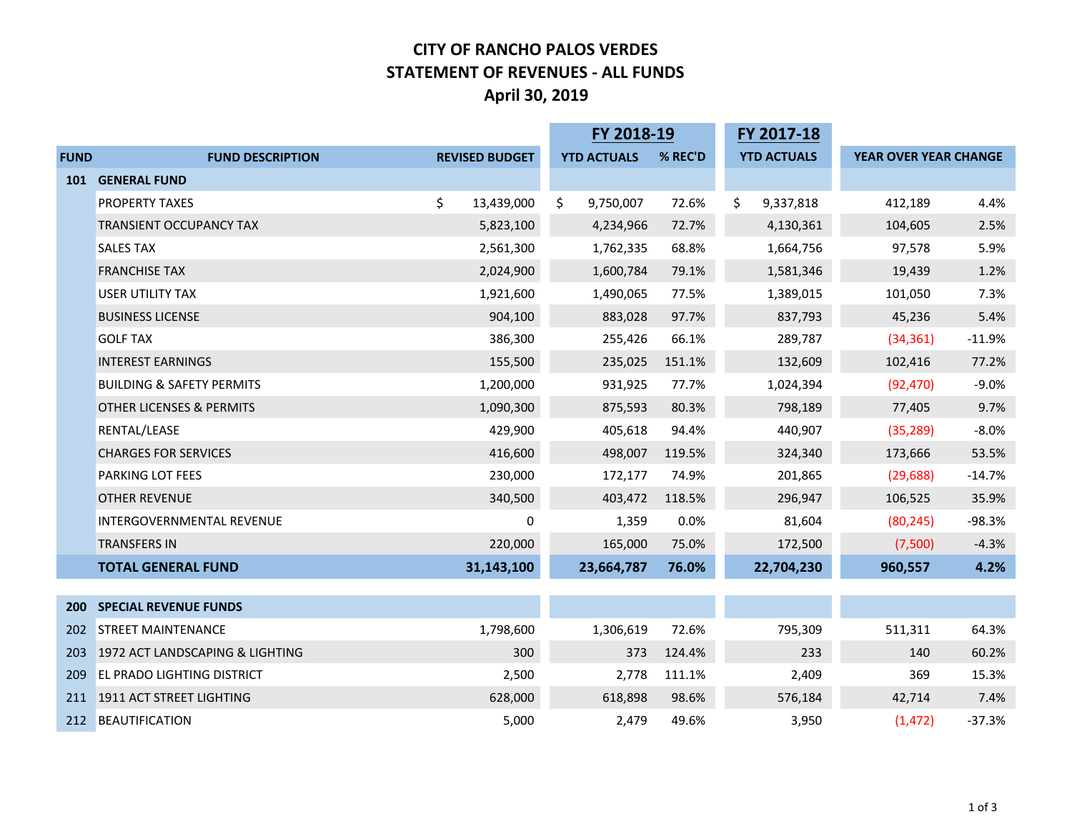## **CITY OF RANCHO PALOS VERDES STATEMENT OF REVENUES ‐ ALL FUNDS April 30, 2019**

|             |                                      |                       | FY 2018-19         |         | FY 2017-18         |                       |          |
|-------------|--------------------------------------|-----------------------|--------------------|---------|--------------------|-----------------------|----------|
| <b>FUND</b> | <b>FUND DESCRIPTION</b>              | <b>REVISED BUDGET</b> | <b>YTD ACTUALS</b> | % REC'D | <b>YTD ACTUALS</b> | YEAR OVER YEAR CHANGE |          |
| 101         | <b>GENERAL FUND</b>                  |                       |                    |         |                    |                       |          |
|             | <b>PROPERTY TAXES</b>                | \$<br>13,439,000      | \$<br>9,750,007    | 72.6%   | \$<br>9,337,818    | 412,189               | 4.4%     |
|             | <b>TRANSIENT OCCUPANCY TAX</b>       | 5,823,100             | 4,234,966          | 72.7%   | 4,130,361          | 104,605               | 2.5%     |
|             | <b>SALES TAX</b>                     | 2,561,300             | 1,762,335          | 68.8%   | 1,664,756          | 97,578                | 5.9%     |
|             | <b>FRANCHISE TAX</b>                 | 2,024,900             | 1,600,784          | 79.1%   | 1,581,346          | 19,439                | 1.2%     |
|             | <b>USER UTILITY TAX</b>              | 1,921,600             | 1,490,065          | 77.5%   | 1,389,015          | 101,050               | 7.3%     |
|             | <b>BUSINESS LICENSE</b>              | 904,100               | 883,028            | 97.7%   | 837,793            | 45,236                | 5.4%     |
|             | <b>GOLF TAX</b>                      | 386,300               | 255,426            | 66.1%   | 289,787            | (34, 361)             | $-11.9%$ |
|             | <b>INTEREST EARNINGS</b>             | 155,500               | 235,025            | 151.1%  | 132,609            | 102,416               | 77.2%    |
|             | <b>BUILDING &amp; SAFETY PERMITS</b> | 1,200,000             | 931,925            | 77.7%   | 1,024,394          | (92, 470)             | $-9.0%$  |
|             | <b>OTHER LICENSES &amp; PERMITS</b>  | 1,090,300             | 875,593            | 80.3%   | 798,189            | 77,405                | 9.7%     |
|             | RENTAL/LEASE                         | 429,900               | 405,618            | 94.4%   | 440,907            | (35, 289)             | $-8.0%$  |
|             | <b>CHARGES FOR SERVICES</b>          | 416,600               | 498,007            | 119.5%  | 324,340            | 173,666               | 53.5%    |
|             | <b>PARKING LOT FEES</b>              | 230,000               | 172,177            | 74.9%   | 201,865            | (29, 688)             | $-14.7%$ |
|             | <b>OTHER REVENUE</b>                 | 340,500               | 403,472            | 118.5%  | 296,947            | 106,525               | 35.9%    |
|             | INTERGOVERNMENTAL REVENUE            | 0                     | 1,359              | 0.0%    | 81,604             | (80, 245)             | $-98.3%$ |
|             | <b>TRANSFERS IN</b>                  | 220,000               | 165,000            | 75.0%   | 172,500            | (7,500)               | $-4.3%$  |
|             | <b>TOTAL GENERAL FUND</b>            | 31,143,100            | 23,664,787         | 76.0%   | 22,704,230         | 960,557               | 4.2%     |
|             |                                      |                       |                    |         |                    |                       |          |
| <b>200</b>  | <b>SPECIAL REVENUE FUNDS</b>         |                       |                    |         |                    |                       |          |
| 202         | <b>STREET MAINTENANCE</b>            | 1,798,600             | 1,306,619          | 72.6%   | 795,309            | 511,311               | 64.3%    |
| 203         | 1972 ACT LANDSCAPING & LIGHTING      | 300                   | 373                | 124.4%  | 233                | 140                   | 60.2%    |
| 209         | <b>EL PRADO LIGHTING DISTRICT</b>    | 2,500                 | 2,778              | 111.1%  | 2,409              | 369                   | 15.3%    |
|             | 211 1911 ACT STREET LIGHTING         | 628,000               | 618,898            | 98.6%   | 576,184            | 42,714                | 7.4%     |
|             | 212 BEAUTIFICATION                   | 5,000                 | 2,479              | 49.6%   | 3,950              | (1, 472)              | $-37.3%$ |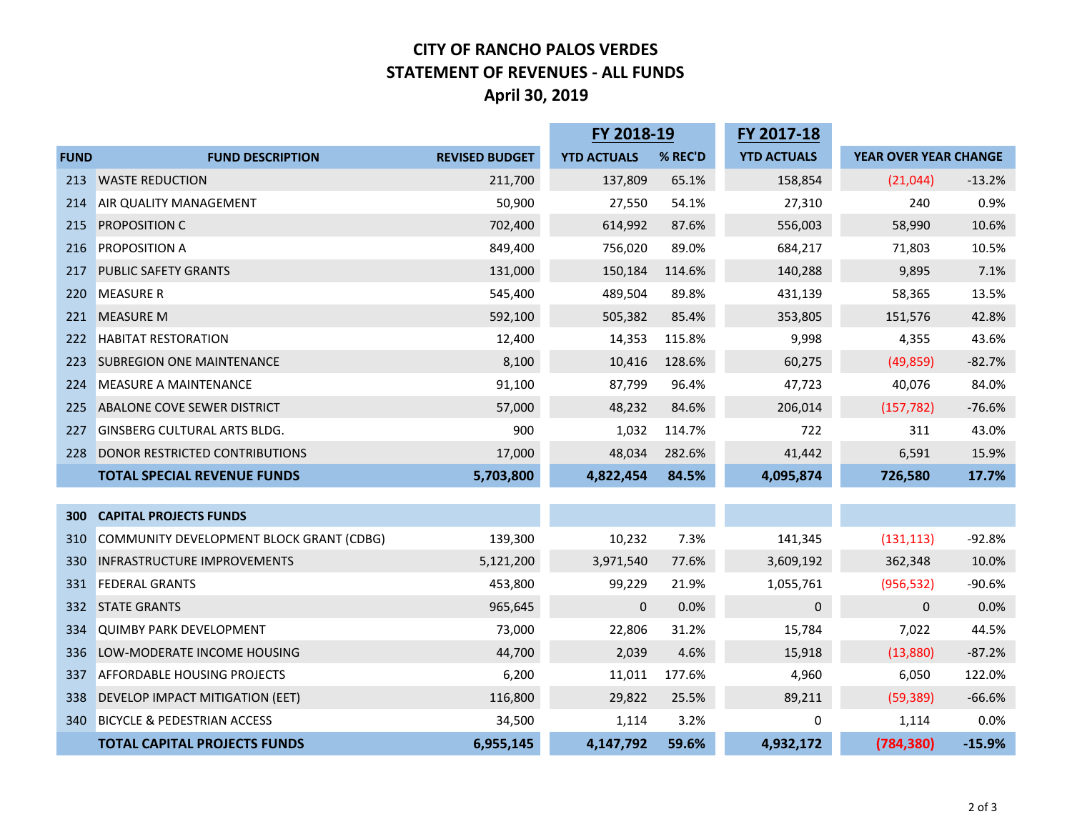## **CITY OF RANCHO PALOS VERDES STATEMENT OF REVENUES ‐ ALL FUNDS April 30, 2019**

|             |                                          |                       | FY 2018-19         |         | FY 2017-18         |                       |          |
|-------------|------------------------------------------|-----------------------|--------------------|---------|--------------------|-----------------------|----------|
| <b>FUND</b> | <b>FUND DESCRIPTION</b>                  | <b>REVISED BUDGET</b> | <b>YTD ACTUALS</b> | % REC'D | <b>YTD ACTUALS</b> | YEAR OVER YEAR CHANGE |          |
| 213         | <b>WASTE REDUCTION</b>                   | 211,700               | 137,809            | 65.1%   | 158,854            | (21, 044)             | $-13.2%$ |
| 214         | AIR QUALITY MANAGEMENT                   | 50,900                | 27,550             | 54.1%   | 27,310             | 240                   | 0.9%     |
| 215         | <b>PROPOSITION C</b>                     | 702,400               | 614,992            | 87.6%   | 556,003            | 58,990                | 10.6%    |
| 216         | <b>PROPOSITION A</b>                     | 849,400               | 756,020            | 89.0%   | 684,217            | 71,803                | 10.5%    |
| 217         | <b>PUBLIC SAFETY GRANTS</b>              | 131,000               | 150,184            | 114.6%  | 140,288            | 9,895                 | 7.1%     |
| 220         | <b>MEASURE R</b>                         | 545,400               | 489,504            | 89.8%   | 431,139            | 58,365                | 13.5%    |
| 221         | <b>MEASURE M</b>                         | 592,100               | 505,382            | 85.4%   | 353,805            | 151,576               | 42.8%    |
| 222         | <b>HABITAT RESTORATION</b>               | 12,400                | 14,353             | 115.8%  | 9,998              | 4,355                 | 43.6%    |
| 223         | <b>SUBREGION ONE MAINTENANCE</b>         | 8,100                 | 10,416             | 128.6%  | 60,275             | (49, 859)             | $-82.7%$ |
| 224         | <b>MEASURE A MAINTENANCE</b>             | 91,100                | 87,799             | 96.4%   | 47,723             | 40,076                | 84.0%    |
| 225         | ABALONE COVE SEWER DISTRICT              | 57,000                | 48,232             | 84.6%   | 206,014            | (157, 782)            | $-76.6%$ |
| 227         | <b>GINSBERG CULTURAL ARTS BLDG.</b>      | 900                   | 1,032              | 114.7%  | 722                | 311                   | 43.0%    |
| 228         | DONOR RESTRICTED CONTRIBUTIONS           | 17,000                | 48,034             | 282.6%  | 41,442             | 6,591                 | 15.9%    |
|             | <b>TOTAL SPECIAL REVENUE FUNDS</b>       | 5,703,800             | 4,822,454          | 84.5%   | 4,095,874          | 726,580               | 17.7%    |
|             |                                          |                       |                    |         |                    |                       |          |
| 300         | <b>CAPITAL PROJECTS FUNDS</b>            |                       |                    |         |                    |                       |          |
| 310         | COMMUNITY DEVELOPMENT BLOCK GRANT (CDBG) | 139,300               | 10,232             | 7.3%    | 141,345            | (131, 113)            | $-92.8%$ |
| 330         | INFRASTRUCTURE IMPROVEMENTS              | 5,121,200             | 3,971,540          | 77.6%   | 3,609,192          | 362,348               | 10.0%    |
| 331         | <b>FEDERAL GRANTS</b>                    | 453,800               | 99,229             | 21.9%   | 1,055,761          | (956, 532)            | $-90.6%$ |
| 332         | <b>STATE GRANTS</b>                      | 965,645               | $\mathbf 0$        | 0.0%    | $\mathbf 0$        | 0                     | 0.0%     |
| 334         | <b>QUIMBY PARK DEVELOPMENT</b>           | 73,000                | 22,806             | 31.2%   | 15,784             | 7,022                 | 44.5%    |
| 336         | LOW-MODERATE INCOME HOUSING              | 44,700                | 2,039              | 4.6%    | 15,918             | (13,880)              | $-87.2%$ |
| 337         | <b>AFFORDABLE HOUSING PROJECTS</b>       | 6,200                 | 11,011             | 177.6%  | 4,960              | 6,050                 | 122.0%   |
| 338         | DEVELOP IMPACT MITIGATION (EET)          | 116,800               | 29,822             | 25.5%   | 89,211             | (59, 389)             | $-66.6%$ |
| 340         | <b>BICYCLE &amp; PEDESTRIAN ACCESS</b>   | 34,500                | 1,114              | 3.2%    | 0                  | 1,114                 | 0.0%     |
|             | <b>TOTAL CAPITAL PROJECTS FUNDS</b>      | 6,955,145             | 4,147,792          | 59.6%   | 4,932,172          | (784, 380)            | $-15.9%$ |